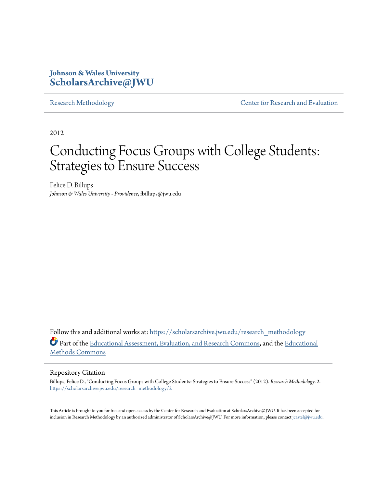#### **Johnson & Wales University [ScholarsArchive@JWU](https://scholarsarchive.jwu.edu?utm_source=scholarsarchive.jwu.edu%2Fresearch_methodology%2F2&utm_medium=PDF&utm_campaign=PDFCoverPages)**

[Research Methodology](https://scholarsarchive.jwu.edu/research_methodology?utm_source=scholarsarchive.jwu.edu%2Fresearch_methodology%2F2&utm_medium=PDF&utm_campaign=PDFCoverPages) **[Center for Research and Evaluation](https://scholarsarchive.jwu.edu/research?utm_source=scholarsarchive.jwu.edu%2Fresearch_methodology%2F2&utm_medium=PDF&utm_campaign=PDFCoverPages)** 

2012

## Conducting Focus Groups with College Students: Strategies to Ensure Success

Felice D. Billups *Johnson & Wales University - Providence*, fbillups@jwu.edu

Follow this and additional works at: [https://scholarsarchive.jwu.edu/research\\_methodology](https://scholarsarchive.jwu.edu/research_methodology?utm_source=scholarsarchive.jwu.edu%2Fresearch_methodology%2F2&utm_medium=PDF&utm_campaign=PDFCoverPages) Part of the [Educational Assessment, Evaluation, and Research Commons,](http://network.bepress.com/hgg/discipline/796?utm_source=scholarsarchive.jwu.edu%2Fresearch_methodology%2F2&utm_medium=PDF&utm_campaign=PDFCoverPages) and the [Educational](http://network.bepress.com/hgg/discipline/1227?utm_source=scholarsarchive.jwu.edu%2Fresearch_methodology%2F2&utm_medium=PDF&utm_campaign=PDFCoverPages) [Methods Commons](http://network.bepress.com/hgg/discipline/1227?utm_source=scholarsarchive.jwu.edu%2Fresearch_methodology%2F2&utm_medium=PDF&utm_campaign=PDFCoverPages)

#### Repository Citation

Billups, Felice D., "Conducting Focus Groups with College Students: Strategies to Ensure Success" (2012). *Research Methodology*. 2. [https://scholarsarchive.jwu.edu/research\\_methodology/2](https://scholarsarchive.jwu.edu/research_methodology/2?utm_source=scholarsarchive.jwu.edu%2Fresearch_methodology%2F2&utm_medium=PDF&utm_campaign=PDFCoverPages)

This Article is brought to you for free and open access by the Center for Research and Evaluation at ScholarsArchive@JWU. It has been accepted for inclusion in Research Methodology by an authorized administrator of ScholarsArchive@JWU. For more information, please contact [jcastel@jwu.edu](mailto:jcastel@jwu.edu).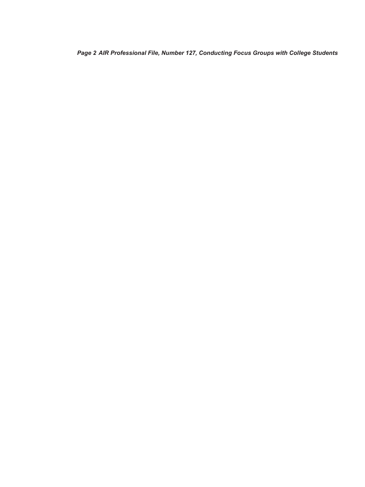*Page 2 AIR Professional File, Number 127, Conducting Focus Groups with College Students*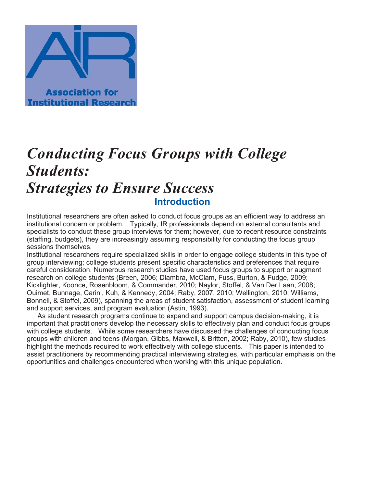

# *Conducting Focus Groups with College Students: Strategies to Ensure Success* **Introduction**

Institutional researchers are often asked to conduct focus groups as an efficient way to address an institutional concern or problem. Typically, IR professionals depend on external consultants and specialists to conduct these group interviews for them; however, due to recent resource constraints (staffing, budgets), they are increasingly assuming responsibility for conducting the focus group sessions themselves.

Institutional researchers require specialized skills in order to engage college students in this type of group interviewing; college students present specific characteristics and preferences that require careful consideration. Numerous research studies have used focus groups to support or augment research on college students (Breen, 2006; Diambra, McClam, Fuss, Burton, & Fudge, 2009; Kicklighter, Koonce, Rosenbloom, & Commander, 2010; Naylor, Stoffel, & Van Der Laan, 2008; Ouimet, Bunnage, Carini, Kuh, & Kennedy, 2004; Raby, 2007, 2010; Wellington, 2010; Williams, Bonnell, & Stoffel, 2009), spanning the areas of student satisfaction, assessment of student learning and support services, and program evaluation (Astin, 1993).

As student research programs continue to expand and support campus decision-making, it is important that practitioners develop the necessary skills to effectively plan and conduct focus groups with college students. While some researchers have discussed the challenges of conducting focus groups with children and teens (Morgan, Gibbs, Maxwell, & Britten, 2002; Raby, 2010), few studies highlight the methods required to work effectively with college students. This paper is intended to assist practitioners by recommending practical interviewing strategies, with particular emphasis on the opportunities and challenges encountered when working with this unique population.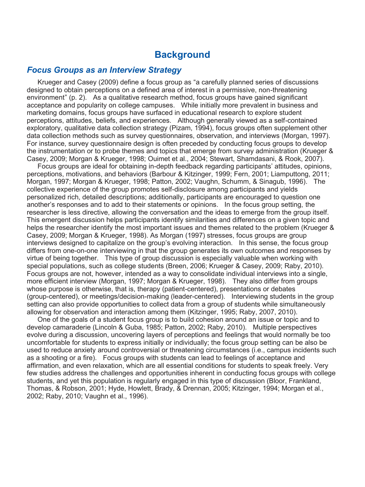### **Background**

#### *Focus Groups as an Interview Strategy*

Krueger and Casey (2009) define a focus group as "a carefully planned series of discussions designed to obtain perceptions on a defined area of interest in a permissive, non-threatening environment" (p. 2). As a qualitative research method, focus groups have gained significant acceptance and popularity on college campuses. While initially more prevalent in business and marketing domains, focus groups have surfaced in educational research to explore student perceptions, attitudes, beliefs, and experiences. Although generally viewed as a self-contained exploratory, qualitative data collection strategy (Pizam, 1994), focus groups often supplement other data collection methods such as survey questionnaires, observation, and interviews (Morgan, 1997). For instance, survey questionnaire design is often preceded by conducting focus groups to develop the instrumentation or to probe themes and topics that emerge from survey administration (Krueger & Casey, 2009; Morgan & Krueger, 1998; Ouimet et al., 2004; Stewart, Shamdasani, & Rook, 2007).

Focus groups are ideal for obtaining in-depth feedback regarding participants' attitudes, opinions, perceptions, motivations, and behaviors (Barbour & Kitzinger, 1999; Fern, 2001; Liamputtong, 2011; Morgan, 1997; Morgan & Krueger, 1998; Patton, 2002; Vaughn, Schumm, & Sinagub, 1996). The collective experience of the group promotes self-disclosure among participants and yields personalized rich, detailed descriptions; additionally, participants are encouraged to question one another's responses and to add to their statements or opinions. In the focus group setting, the researcher is less directive, allowing the conversation and the ideas to emerge from the group itself. This emergent discussion helps participants identify similarities and differences on a given topic and helps the researcher identify the most important issues and themes related to the problem (Krueger & Casey, 2009; Morgan & Krueger, 1998). As Morgan (1997) stresses, focus groups are group interviews designed to capitalize on the group's evolving interaction. In this sense, the focus group differs from one-on-one interviewing in that the group generates its own outcomes and responses by virtue of being together. This type of group discussion is especially valuable when working with special populations, such as college students (Breen, 2006; Krueger & Casey, 2009; Raby, 2010). Focus groups are not, however, intended as a way to consolidate individual interviews into a single, more efficient interview (Morgan, 1997; Morgan & Krueger, 1998). They also differ from groups whose purpose is otherwise, that is, therapy (patient-centered), presentations or debates (group-centered), or meetings/decision-making (leader-centered). Interviewing students in the group setting can also provide opportunities to collect data from a group of students while simultaneously allowing for observation and interaction among them (Kitzinger, 1995; Raby, 2007, 2010).

One of the goals of a student focus group is to build cohesion around an issue or topic and to develop camaraderie (Lincoln & Guba, 1985; Patton, 2002; Raby, 2010). Multiple perspectives evolve during a discussion, uncovering layers of perceptions and feelings that would normally be too uncomfortable for students to express initially or individually; the focus group setting can be also be used to reduce anxiety around controversial or threatening circumstances (i.e., campus incidents such as a shooting or a fire). Focus groups with students can lead to feelings of acceptance and affirmation, and even relaxation, which are all essential conditions for students to speak freely. Very few studies address the challenges and opportunities inherent in conducting focus groups with college students, and yet this population is regularly engaged in this type of discussion (Bloor, Frankland, Thomas, & Robson, 2001; Hyde, Howlett, Brady, & Drennan, 2005; Kitzinger, 1994; Morgan et al., 2002; Raby, 2010; Vaughn et al., 1996).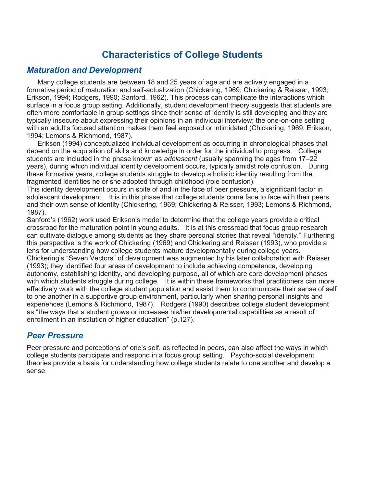## **Characteristics of College Students**

#### *Maturation and Development*

Many college students are between 18 and 25 years of age and are actively engaged in a formative period of maturation and self-actualization (Chickering, 1969; Chickering & Reisser, 1993; Erikson, 1994; Rodgers, 1990; Sanford, 1962). This process can complicate the interactions which surface in a focus group setting. Additionally, student development theory suggests that students are often more comfortable in group settings since their sense of identity is still developing and they are typically insecure about expressing their opinions in an individual interview; the one-on-one setting with an adult's focused attention makes them feel exposed or intimidated (Chickering, 1969; Erikson, 1994; Lemons & Richmond, 1987).

Erikson (1994) conceptualized individual development as occurring in chronological phases that depend on the acquisition of skills and knowledge in order for the individual to progress. College students are included in the phase known as *adolescent* (usually spanning the ages from 17–22 years), during which individual identity development occurs, typically amidst role confusion. During these formative years, college students struggle to develop a holistic identity resulting from the fragmented identities he or she adopted through childhood (role confusion).

This identity development occurs in spite of and in the face of peer pressure, a significant factor in adolescent development. It is in this phase that college students come face to face with their peers and their own sense of identity (Chickering, 1969; Chickering & Reisser, 1993; Lemons & Richmond, 1987).

Sanford's (1962) work used Erikson's model to determine that the college years provide a critical crossroad for the maturation point in young adults. It is at this crossroad that focus group research can cultivate dialogue among students as they share personal stories that reveal "identity." Furthering this perspective is the work of Chickering (1969) and Chickering and Reisser (1993), who provide a lens for understanding how college students mature developmentally during college years. Chickering's "Seven Vectors" of development was augmented by his later collaboration with Reisser (1993); they identified four areas of development to include achieving competence, developing autonomy, establishing identity, and developing purpose, all of which are core development phases with which students struggle during college. It is within these frameworks that practitioners can more effectively work with the college student population and assist them to communicate their sense of self to one another in a supportive group environment, particularly when sharing personal insights and experiences (Lemons & Richmond, 1987). Rodgers (1990) describes college student development as "the ways that a student grows or increases his/her developmental capabilities as a result of enrollment in an institution of higher education" (p.127).

#### *Peer Pressure*

Peer pressure and perceptions of one's self, as reflected in peers, can also affect the ways in which college students participate and respond in a focus group setting. Psycho-social development theories provide a basis for understanding how college students relate to one another and develop a sense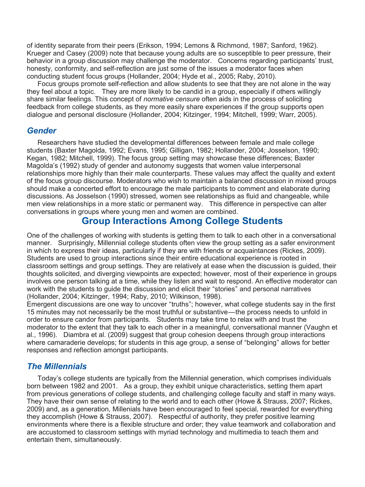of identity separate from their peers (Erikson, 1994; Lemons & Richmond, 1987; Sanford, 1962). Krueger and Casey (2009) note that because young adults are so susceptible to peer pressure, their behavior in a group discussion may challenge the moderator. Concerns regarding participants' trust, honesty, conformity, and self-reflection are just some of the issues a moderator faces when conducting student focus groups (Hollander, 2004; Hyde et al., 2005; Raby, 2010).

Focus groups promote self-reflection and allow students to see that they are not alone in the way they feel about a topic. They are more likely to be candid in a group, especially if others willingly share similar feelings. This concept of *normative censure* often aids in the process of soliciting feedback from college students, as they more easily share experiences if the group supports open dialogue and personal disclosure (Hollander, 2004; Kitzinger, 1994; Mitchell, 1999; Warr, 2005).

#### *Gender*

Researchers have studied the developmental differences between female and male college students (Baxter Magolda, 1992; Evans, 1995; Gilligan, 1982; Hollander, 2004; Josselson, 1990; Kegan, 1982; Mitchell, 1999). The focus group setting may showcase these differences; Baxter Magolda's (1992) study of gender and autonomy suggests that women value interpersonal relationships more highly than their male counterparts. These values may affect the quality and extent of the focus group discourse. Moderators who wish to maintain a balanced discussion in mixed groups should make a concerted effort to encourage the male participants to comment and elaborate during discussions. As Josselson (1990) stressed, women see relationships as fluid and changeable, while men view relationships in a more static or permanent way. This difference in perspective can alter conversations in groups where young men and women are combined.

## **Group Interactions Among College Students**

One of the challenges of working with students is getting them to talk to each other in a conversational manner. Surprisingly, Millennial college students often view the group setting as a safer environment in which to express their ideas, particularly if they are with friends or acquaintances (Rickes, 2009). Students are used to group interactions since their entire educational experience is rooted in classroom settings and group settings. They are relatively at ease when the discussion is guided, their thoughts solicited, and diverging viewpoints are expected; however, most of their experience in groups involves one person talking at a time, while they listen and wait to respond. An effective moderator can work with the students to guide the discussion and elicit their "stories" and personal narratives (Hollander, 2004; Kitzinger, 1994; Raby, 2010; Wilkinson, 1998).

Emergent discussions are one way to uncover "truths"; however, what college students say in the first 15 minutes may not necessarily be the most truthful or substantive—the process needs to unfold in order to ensure candor from participants. Students may take time to relax with and trust the moderator to the extent that they talk to each other in a meaningful, conversational manner (Vaughn et al., 1996). Diambra et al. (2009) suggest that group cohesion deepens through group interactions where camaraderie develops; for students in this age group, a sense of "belonging" allows for better responses and reflection amongst participants.

#### *The Millennials*

Today's college students are typically from the Millennial generation, which comprises individuals born between 1982 and 2001. As a group, they exhibit unique characteristics, setting them apart from previous generations of college students, and challenging college faculty and staff in many ways. They have their own sense of relating to the world and to each other (Howe & Strauss, 2007; Rickes, 2009) and, as a generation, Millenials have been encouraged to feel special, rewarded for everything they accomplish (Howe & Strauss, 2007). Respectful of authority, they prefer positive learning environments where there is a flexible structure and order; they value teamwork and collaboration and are accustomed to classroom settings with myriad technology and multimedia to teach them and entertain them, simultaneously.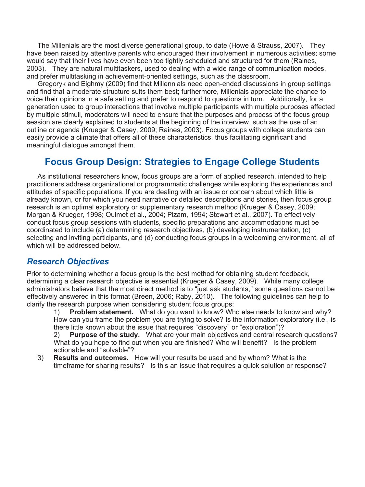The Millenials are the most diverse generational group, to date (Howe & Strauss, 2007). They have been raised by attentive parents who encouraged their involvement in numerous activities; some would say that their lives have even been too tightly scheduled and structured for them (Raines, 2003). They are natural multitaskers, used to dealing with a wide range of communication modes, and prefer multitasking in achievement-oriented settings, such as the classroom.

Gregoryk and Eighmy (2009) find that Millennials need open-ended discussions in group settings and find that a moderate structure suits them best; furthermore, Millenials appreciate the chance to voice their opinions in a safe setting and prefer to respond to questions in turn. Additionally, for a generation used to group interactions that involve multiple participants with multiple purposes affected by multiple stimuli, moderators will need to ensure that the purposes and process of the focus group session are clearly explained to students at the beginning of the interview, such as the use of an outline or agenda (Krueger & Casey, 2009; Raines, 2003). Focus groups with college students can easily provide a climate that offers all of these characteristics, thus facilitating significant and meaningful dialogue amongst them.

## **Focus Group Design: Strategies to Engage College Students**

As institutional researchers know, focus groups are a form of applied research, intended to help practitioners address organizational or programmatic challenges while exploring the experiences and attitudes of specific populations. If you are dealing with an issue or concern about which little is already known, or for which you need narrative or detailed descriptions and stories, then focus group research is an optimal exploratory or supplementary research method (Krueger & Casey, 2009; Morgan & Krueger, 1998; Ouimet et al., 2004; Pizam, 1994; Stewart et al., 2007). To effectively conduct focus group sessions with students, specific preparations and accommodations must be coordinated to include (a) determining research objectives, (b) developing instrumentation, (c) selecting and inviting participants, and (d) conducting focus groups in a welcoming environment, all of which will be addressed below.

#### *Research Objectives*

Prior to determining whether a focus group is the best method for obtaining student feedback, determining a clear research objective is essential (Krueger & Casey, 2009). While many college administrators believe that the most direct method is to "just ask students," some questions cannot be effectively answered in this format (Breen, 2006; Raby, 2010). The following guidelines can help to clarify the research purpose when considering student focus groups:

1) **Problem statement.** What do you want to know? Who else needs to know and why? How can you frame the problem you are trying to solve? Is the information exploratory (i.e., is there little known about the issue that requires "discovery" or "exploration")? 2) **Purpose of the study.** What are your main objectives and central research questions? What do you hope to find out when you are finished? Who will benefit? Is the problem

actionable and "solvable"?

3) **Results and outcomes.** How will your results be used and by whom? What is the timeframe for sharing results? Is this an issue that requires a quick solution or response?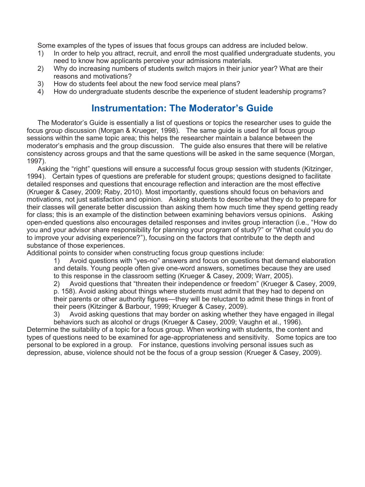Some examples of the types of issues that focus groups can address are included below.

- 1) In order to help you attract, recruit, and enroll the most qualified undergraduate students, you need to know how applicants perceive your admissions materials.
- 2) Why do increasing numbers of students switch majors in their junior year? What are their reasons and motivations?
- 3) How do students feel about the new food service meal plans?
- 4) How do undergraduate students describe the experience of student leadership programs?

## **Instrumentation: The Moderator's Guide**

The Moderator's Guide is essentially a list of questions or topics the researcher uses to guide the focus group discussion (Morgan & Krueger, 1998). The same guide is used for all focus group sessions within the same topic area; this helps the researcher maintain a balance between the moderator's emphasis and the group discussion. The guide also ensures that there will be relative consistency across groups and that the same questions will be asked in the same sequence (Morgan, 1997).

Asking the "right" questions will ensure a successful focus group session with students (Kitzinger, 1994). Certain types of questions are preferable for student groups; questions designed to facilitate detailed responses and questions that encourage reflection and interaction are the most effective (Krueger & Casey, 2009; Raby, 2010). Most importantly, questions should focus on behaviors and motivations, not just satisfaction and opinion. Asking students to describe what they do to prepare for their classes will generate better discussion than asking them how much time they spend getting ready for class; this is an example of the distinction between examining behaviors versus opinions. Asking open-ended questions also encourages detailed responses and invites group interaction (i.e., "How do you and your advisor share responsibility for planning your program of study?" or "What could you do to improve your advising experience?"), focusing on the factors that contribute to the depth and substance of those experiences.

Additional points to consider when constructing focus group questions include:

1) Avoid questions with "yes-no" answers and focus on questions that demand elaboration and details. Young people often give one-word answers, sometimes because they are used to this response in the classroom setting (Krueger & Casey, 2009; Warr, 2005).

2) Avoid questions that "threaten their independence or freedom" (Krueger & Casey, 2009, p. 158). Avoid asking about things where students must admit that they had to depend on their parents or other authority figures—they will be reluctant to admit these things in front of their peers (Kitzinger & Barbour, 1999; Krueger & Casey, 2009).

3) Avoid asking questions that may border on asking whether they have engaged in illegal behaviors such as alcohol or drugs (Krueger & Casey, 2009; Vaughn et al., 1996). Determine the suitability of a topic for a focus group. When working with students, the content and types of questions need to be examined for age-appropriateness and sensitivity. Some topics are too personal to be explored in a group. For instance, questions involving personal issues such as depression, abuse, violence should not be the focus of a group session (Krueger & Casey, 2009).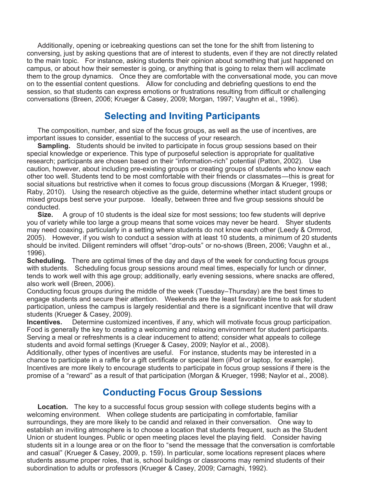Additionally, opening or icebreaking questions can set the tone for the shift from listening to conversing, just by asking questions that are of interest to students, even if they are not directly related to the main topic. For instance, asking students their opinion about something that just happened on campus, or about how their semester is going, or anything that is going to relax them will acclimate them to the group dynamics. Once they are comfortable with the conversational mode, you can move on to the essential content questions. Allow for concluding and debriefing questions to end the session, so that students can express emotions or frustrations resulting from difficult or challenging conversations (Breen, 2006; Krueger & Casey, 2009; Morgan, 1997; Vaughn et al., 1996).

## **Selecting and Inviting Participants**

The composition, number, and size of the focus groups, as well as the use of incentives, are important issues to consider, essential to the success of your research.

**Sampling.** Students should be invited to participate in focus group sessions based on their special knowledge or experience. This type of purposeful selection is appropriate for qualitative research; participants are chosen based on their "information-rich" potential (Patton, 2002). Use caution, however, about including pre-existing groups or creating groups of students who know each other too well. Students tend to be most comfortable with their friends or classmates—this is great for social situations but restrictive when it comes to focus group discussions (Morgan & Krueger, 1998; Raby, 2010). Using the research objective as the guide, determine whether intact student groups or mixed groups best serve your purpose. Ideally, between three and five group sessions should be conducted.

**Size.** A group of 10 students is the ideal size for most sessions; too few students will deprive you of variety while too large a group means that some voices may never be heard. Shyer students may need coaxing, particularly in a setting where students do not know each other (Leedy & Ormrod, 2005). However, if you wish to conduct a session with at least 10 students, a minimum of 20 students should be invited. Diligent reminders will offset "drop-outs" or no-shows (Breen, 2006; Vaughn et al., 1996).

**Scheduling.** There are optimal times of the day and days of the week for conducting focus groups with students. Scheduling focus group sessions around meal times, especially for lunch or dinner, tends to work well with this age group; additionally, early evening sessions, where snacks are offered, also work well (Breen, 2006).

Conducting focus groups during the middle of the week (Tuesday–Thursday) are the best times to engage students and secure their attention. Weekends are the least favorable time to ask for student participation, unless the campus is largely residential and there is a significant incentive that will draw students (Krueger & Casey, 2009).

**Incentives.** Determine customized incentives, if any, which will motivate focus group participation. Food is generally the key to creating a welcoming and relaxing environment for student participants. Serving a meal or refreshments is a clear inducement to attend; consider what appeals to college students and avoid formal settings (Krueger & Casey, 2009; Naylor et al., 2008).

Additionally, other types of incentives are useful. For instance, students may be interested in a chance to participate in a raffle for a gift certificate or special item (iPod or laptop, for example). Incentives are more likely to encourage students to participate in focus group sessions if there is the promise of a "reward" as a result of that participation (Morgan & Krueger, 1998; Naylor et al., 2008).

## **Conducting Focus Group Sessions**

**Location.** The key to a successful focus group session with college students begins with a welcoming environment. When college students are participating in comfortable, familiar surroundings, they are more likely to be candid and relaxed in their conversation. One way to establish an inviting atmosphere is to choose a location that students frequent, such as the Student Union or student lounges. Public or open meeting places level the playing field. Consider having students sit in a lounge area or on the floor to "send the message that the conversation is comfortable and casual" (Krueger & Casey, 2009, p. 159). In particular, some locations represent places where students assume proper roles, that is, school buildings or classrooms may remind students of their subordination to adults or professors (Krueger & Casey, 2009; Carnaghi, 1992).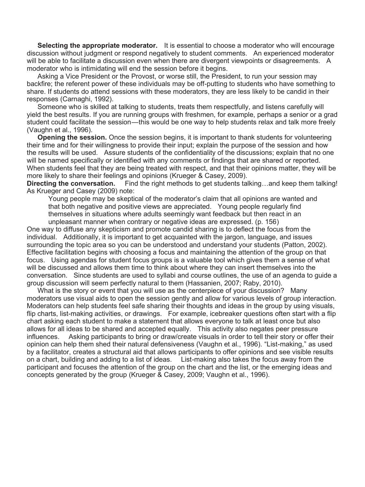**Selecting the appropriate moderator.** It is essential to choose a moderator who will encourage discussion without judgment or respond negatively to student comments. An experienced moderator will be able to facilitate a discussion even when there are divergent viewpoints or disagreements. A moderator who is intimidating will end the session before it begins.

Asking a Vice President or the Provost, or worse still, the President, to run your session may backfire; the referent power of these individuals may be off-putting to students who have something to share. If students do attend sessions with these moderators, they are less likely to be candid in their responses (Carnaghi, 1992).

Someone who is skilled at talking to students, treats them respectfully, and listens carefully will yield the best results. If you are running groups with freshmen, for example, perhaps a senior or a grad student could facilitate the session—this would be one way to help students relax and talk more freely (Vaughn et al., 1996).

**Opening the session.** Once the session begins, it is important to thank students for volunteering their time and for their willingness to provide their input; explain the purpose of the session and how the results will be used. Assure students of the confidentiality of the discussions; explain that no one will be named specifically or identified with any comments or findings that are shared or reported. When students feel that they are being treated with respect, and that their opinions matter, they will be more likely to share their feelings and opinions (Krueger & Casey, 2009).

**Directing the conversation.** Find the right methods to get students talking…and keep them talking! As Krueger and Casey (2009) note:

Young people may be skeptical of the moderator's claim that all opinions are wanted and that both negative and positive views are appreciated. Young people regularly find themselves in situations where adults seemingly want feedback but then react in an unpleasant manner when contrary or negative ideas are expressed. (p. 156)

One way to diffuse any skepticism and promote candid sharing is to deflect the focus from the individual. Additionally, it is important to get acquainted with the jargon, language, and issues surrounding the topic area so you can be understood and understand your students (Patton, 2002). Effective facilitation begins with choosing a focus and maintaining the attention of the group on that focus. Using agendas for student focus groups is a valuable tool which gives them a sense of what will be discussed and allows them time to think about where they can insert themselves into the conversation. Since students are used to syllabi and course outlines, the use of an agenda to guide a group discussion will seem perfectly natural to them (Hassanien, 2007; Raby, 2010).

What is the story or event that you will use as the centerpiece of your discussion? Many moderators use visual aids to open the session gently and allow for various levels of group interaction. Moderators can help students feel safe sharing their thoughts and ideas in the group by using visuals, flip charts, list-making activities, or drawings. For example, icebreaker questions often start with a flip chart asking each student to make a statement that allows everyone to talk at least once but also allows for all ideas to be shared and accepted equally. This activity also negates peer pressure influences. Asking participants to bring or draw/create visuals in order to tell their story or offer their opinion can help them shed their natural defensiveness (Vaughn et al., 1996). "List-making," as used by a facilitator, creates a structural aid that allows participants to offer opinions and see visible results on a chart, building and adding to a list of ideas. List-making also takes the focus away from the participant and focuses the attention of the group on the chart and the list, or the emerging ideas and concepts generated by the group (Krueger & Casey, 2009; Vaughn et al., 1996).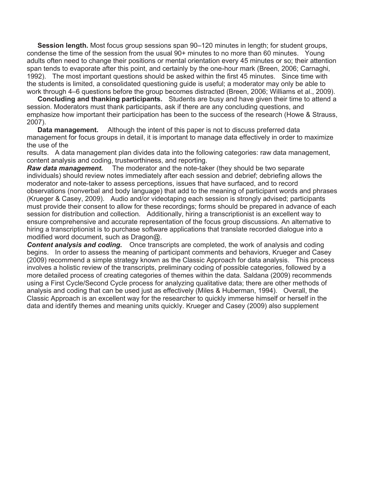**Session length.** Most focus group sessions span 90–120 minutes in length; for student groups, condense the time of the session from the usual 90+ minutes to no more than 60 minutes. Young adults often need to change their positions or mental orientation every 45 minutes or so; their attention span tends to evaporate after this point, and certainly by the one-hour mark (Breen, 2006; Carnaghi, 1992). The most important questions should be asked within the first 45 minutes. Since time with the students is limited, a consolidated questioning guide is useful; a moderator may only be able to work through 4–6 questions before the group becomes distracted (Breen, 2006; Williams et al., 2009).

**Concluding and thanking participants.** Students are busy and have given their time to attend a session. Moderators must thank participants, ask if there are any concluding questions, and emphasize how important their participation has been to the success of the research (Howe & Strauss, 2007).

**Data management.** Although the intent of this paper is not to discuss preferred data management for focus groups in detail, it is important to manage data effectively in order to maximize the use of the

results. A data management plan divides data into the following categories: raw data management, content analysis and coding, trustworthiness, and reporting.

*Raw data management.* The moderator and the note-taker (they should be two separate individuals) should review notes immediately after each session and debrief; debriefing allows the moderator and note-taker to assess perceptions, issues that have surfaced, and to record observations (nonverbal and body language) that add to the meaning of participant words and phrases (Krueger & Casey, 2009). Audio and/or videotaping each session is strongly advised; participants must provide their consent to allow for these recordings; forms should be prepared in advance of each session for distribution and collection. Additionally, hiring a transcriptionist is an excellent way to ensure comprehensive and accurate representation of the focus group discussions. An alternative to hiring a transcriptionist is to purchase software applications that translate recorded dialogue into a modified word document, such as Dragon@.

**Content analysis and coding.** Once transcripts are completed, the work of analysis and coding begins. In order to assess the meaning of participant comments and behaviors, Krueger and Casey (2009) recommend a simple strategy known as the Classic Approach for data analysis. This process involves a holistic review of the transcripts, preliminary coding of possible categories, followed by a more detailed process of creating categories of themes within the data. Saldana (2009) recommends using a First Cycle/Second Cycle process for analyzing qualitative data; there are other methods of analysis and coding that can be used just as effectively (Miles & Huberman, 1994). Overall, the Classic Approach is an excellent way for the researcher to quickly immerse himself or herself in the data and identify themes and meaning units quickly. Krueger and Casey (2009) also supplement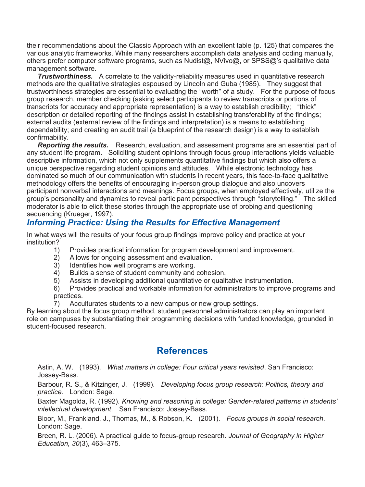their recommendations about the Classic Approach with an excellent table (p. 125) that compares the various analytic frameworks. While many researchers accomplish data analysis and coding manually, others prefer computer software programs, such as Nudist@, NVivo@, or SPSS@'s qualitative data management software.

**Trustworthiness.** A correlate to the validity-reliability measures used in quantitative research methods are the qualitative strategies espoused by Lincoln and Guba (1985). They suggest that trustworthiness strategies are essential to evaluating the "worth" of a study. For the purpose of focus group research, member checking (asking select participants to review transcripts or portions of transcripts for accuracy and appropriate representation) is a way to establish credibility; "thick" description or detailed reporting of the findings assist in establishing transferability of the findings; external audits (external review of the findings and interpretation) is a means to establishing dependability; and creating an audit trail (a blueprint of the research design) is a way to establish confirmability.

*Reporting the results.* Research, evaluation, and assessment programs are an essential part of any student life program. Soliciting student opinions through focus group interactions yields valuable descriptive information, which not only supplements quantitative findings but which also offers a unique perspective regarding student opinions and attitudes. While electronic technology has dominated so much of our communication with students in recent years, this face-to-face qualitative methodology offers the benefits of encouraging in-person group dialogue and also uncovers participant nonverbal interactions and meanings. Focus groups, when employed effectively, utilize the group's personality and dynamics to reveal participant perspectives through "storytelling." The skilled moderator is able to elicit these stories through the appropriate use of probing and questioning sequencing (Krueger, 1997).

### *Informing Practice: Using the Results for Effective Management*

In what ways will the results of your focus group findings improve policy and practice at your institution?

- 1) Provides practical information for program development and improvement.
- 2) Allows for ongoing assessment and evaluation.
- 3) Identifies how well programs are working.
- 4) Builds a sense of student community and cohesion.
- 5) Assists in developing additional quantitative or qualitative instrumentation.

6) Provides practical and workable information for administrators to improve programs and practices.

7) Acculturates students to a new campus or new group settings.

By learning about the focus group method, student personnel administrators can play an important role on campuses by substantiating their programming decisions with funded knowledge, grounded in student-focused research.

## **References**

Astin, A. W. (1993). *What matters in college: Four critical years revisited*. San Francisco: Jossey-Bass.

Barbour, R. S., & Kitzinger, J. (1999). *Developing focus group research: Politics, theory and practice.* London: Sage.

Baxter Magolda, R. (1992). *Knowing and reasoning in college: Gender-related patterns in students' intellectual development*. San Francisco: Jossey-Bass.

Bloor, M., Frankland, J., Thomas, M., & Robson, K. (2001). *Focus groups in social research*. London: Sage.

Breen, R. L. (2006). A practical guide to focus-group research. *Journal of Geography in Higher Education, 30*(3), 463–375.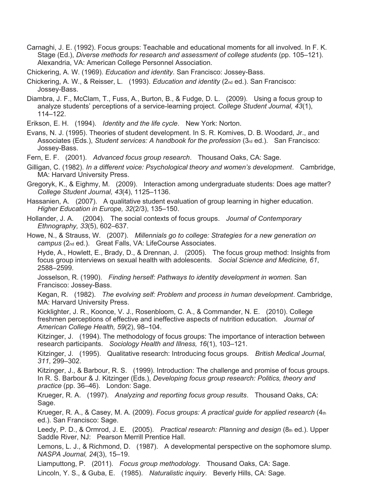Carnaghi, J. E. (1992). Focus groups: Teachable and educational moments for all involved. In F. K. Stage (Ed.), *Diverse methods for research and assessment of college students* (pp. 105–121). Alexandria, VA: American College Personnel Association.

Chickering, A. W. (1969). *Education and identity*. San Francisco: Jossey-Bass.

- Chickering, A. W., & Reisser, L. (1993). *Education and identity* (2nd ed.). San Francisco: Jossey-Bass.
- Diambra, J. F., McClam, T., Fuss, A., Burton, B., & Fudge, D. L. (2009). Using a focus group to analyze students' perceptions of a service-learning project. *College Student Journal, 43*(1), 114–122.

Erikson, E. H. (1994). *Identity and the life cycle*. New York: Norton.

Evans, N. J. (1995). Theories of student development. In S. R. Komives, D. B. Woodard, Jr., and Associates (Eds.), *Student services: A handbook for the profession* (3rd ed.). San Francisco: Jossey-Bass.

Fern, E. F. (2001). *Advanced focus group research*. Thousand Oaks, CA: Sage.

Gilligan, C. (1982). *In a different voice: Psychological theory and women's development*. Cambridge, MA: Harvard University Press.

Gregoryk, K., & Eighmy, M. (2009). Interaction among undergraduate students: Does age matter? *College Student Journal, 43*(4), 1125–1136.

Hassanien, A. (2007). A qualitative student evaluation of group learning in higher education. *Higher Education in Europe, 32*(2/3), 135–150.

Hollander, J. A. (2004). The social contexts of focus groups. *Journal of Contemporary Ethnography, 33*(5), 602–637.

Howe, N., & Strauss, W. (2007). *Millennials go to college: Strategies for a new generation on campus* (2nd ed.). Great Falls, VA: LifeCourse Associates.

Hyde, A., Howlett, E., Brady, D., & Drennan, J. (2005). The focus group method: Insights from focus group interviews on sexual health with adolescents. *Social Science and Medicine, 61*, 2588–2599.

Josselson, R. (1990). *Finding herself: Pathways to identity development in women.* San Francisco: Jossey-Bass.

Kegan, R. (1982). *The evolving self: Problem and process in human development*. Cambridge, MA: Harvard University Press.

Kicklighter, J. R., Koonce, V. J., Rosenbloom, C. A., & Commander, N. E. (2010). College freshmen perceptions of effective and ineffective aspects of nutrition education. *Journal of American College Health, 59*(2), 98–104.

Kitzinger, J. (1994). The methodology of focus groups: The importance of interaction between research participants. *Sociology Health and Illness, 16*(1), 103–121.

Kitzinger, J. (1995). Qualitative research: Introducing focus groups. *British Medical Journal, 311*, 299–302.

Kitzinger, J., & Barbour, R. S. (1999). Introduction: The challenge and promise of focus groups. In R. S. Barbour & J. Kitzinger (Eds.), *Developing focus group research: Politics, theory and practice* (pp. 36–46). London: Sage.

Krueger, R. A. (1997). *Analyzing and reporting focus group results*. Thousand Oaks, CA: Sage.

Krueger, R. A., & Casey, M. A. (2009). *Focus groups: A practical guide for applied research* (4th ed.). San Francisco: Sage.

Leedy, P. D., & Ormrod, J. E. (2005). *Practical research: Planning and design* (8th ed.). Upper Saddle River, NJ: Pearson Merrill Prentice Hall.

Lemons, L. J., & Richmond, D. (1987). A developmental perspective on the sophomore slump. *NASPA Journal, 24*(3), 15–19.

Liamputtong, P. (2011). *Focus group methodology*. Thousand Oaks, CA: Sage.

Lincoln, Y. S., & Guba, E. (1985). *Naturalistic inquiry*. Beverly Hills, CA: Sage.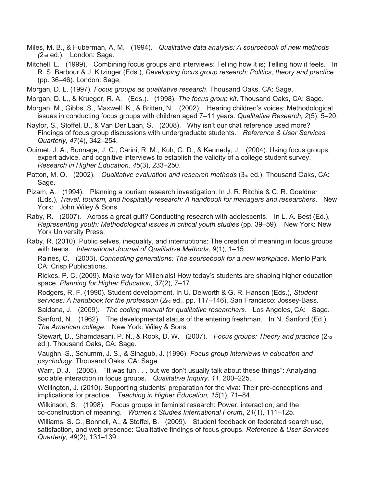Miles, M. B., & Huberman, A. M. (1994). *Qualitative data analysis: A sourcebook of new methods (*2nd ed.). London: Sage.

Mitchell, L. (1999). Combining focus groups and interviews: Telling how it is; Telling how it feels. In R. S. Barbour & J. Kitzinger (Eds.), *Developing focus group research: Politics, theory and practice*  (pp. 36–46). London: Sage.

Morgan, D. L. (1997). *Focus groups as qualitative research*. Thousand Oaks, CA: Sage.

Morgan, D. L., & Krueger, R. A. (Eds.). (1998). *The focus group kit*. Thousand Oaks, CA: Sage.

Morgan, M., Gibbs, S., Maxwell, K., & Britten, N. (2002). Hearing children's voices: Methodological issues in conducting focus groups with children aged 7–11 years. *Qualitative Research, 2*(5), 5–20.

Naylor, S., Stoffel, B., & Van Der Laan, S. (2008). Why isn't our chat reference used more? Findings of focus group discussions with undergraduate students. *Reference & User Services Quarterly, 47*(4), 342–254.

Ouimet, J. A., Bunnage, J. C., Carini, R. M., Kuh, G. D., & Kennedy, J. (2004). Using focus groups, expert advice, and cognitive interviews to establish the validity of a college student survey. *Research in Higher Education, 45*(3), 233–250.

Patton, M. Q. (2002). *Qualitative evaluation and research methods* (3rd ed.). Thousand Oaks, CA: Sage.

Pizam, A. (1994). Planning a tourism research investigation. In J. R. Ritchie & C. R. Goeldner (Eds.), *Travel, tourism, and hospitality research: A handbook for managers and researchers*. New York: John Wiley & Sons.

Raby, R. (2007). Across a great gulf? Conducting research with adolescents. In L. A. Best (Ed.), *Representing youth: Methodological issues in critical youth studies* (pp. 39–59). New York: New York University Press.

Raby, R. (2010). Public selves, inequality, and interruptions: The creation of meaning in focus groups with teens. *International Journal of Qualitative Methods, 9*(1), 1–15.

Raines, C. (2003). *Connecting generations: The sourcebook for a new workplace*. Menlo Park, CA: Crisp Publications.

Rickes, P. C. (2009). Make way for Millenials! How today's students are shaping higher education space. *Planning for Higher Education, 37*(2), 7–17.

Rodgers, R. F. (1990). Student development. In U. Delworth & G. R. Hanson (Eds.), *Student services: A handbook for the profession* (2nd ed., pp. 117–146). San Francisco: Jossey-Bass.

Saldana, J. (2009). *The coding manual for qualitative researchers*. Los Angeles, CA: Sage. Sanford, N. (1962). The developmental status of the entering freshman. In N. Sanford (Ed.),

*The American college*. New York: Wiley & Sons.

Stewart, D., Shamdasani, P. N., & Rook, D. W. (2007). *Focus groups: Theory and practice* (2nd ed.). Thousand Oaks, CA: Sage.

Vaughn, S., Schumm, J. S., & Sinagub, J. (1996). *Focus group interviews in education and psychology*. Thousand Oaks, CA: Sage.

Warr, D. J. (2005). "It was fun . . . but we don't usually talk about these things": Analyzing sociable interaction in focus groups. *Qualitative Inquiry, 11*, 200–225.

Wellington, J. (2010). Supporting students' preparation for the viva: Their pre-conceptions and implications for practice. *Teaching in Higher Education, 15*(1), 71–84.

Wilkinson, S. (1998). Focus groups in feminist research: Power, interaction, and the co-construction of meaning. *Women's Studies International Forum*, *21*(1), 111–125.

Williams, S. C., Bonnell, A., & Stoffel, B. (2009). Student feedback on federated search use, satisfaction, and web presence: Qualitative findings of focus groups. *Reference & User Services Quarterly, 49*(2), 131–139.